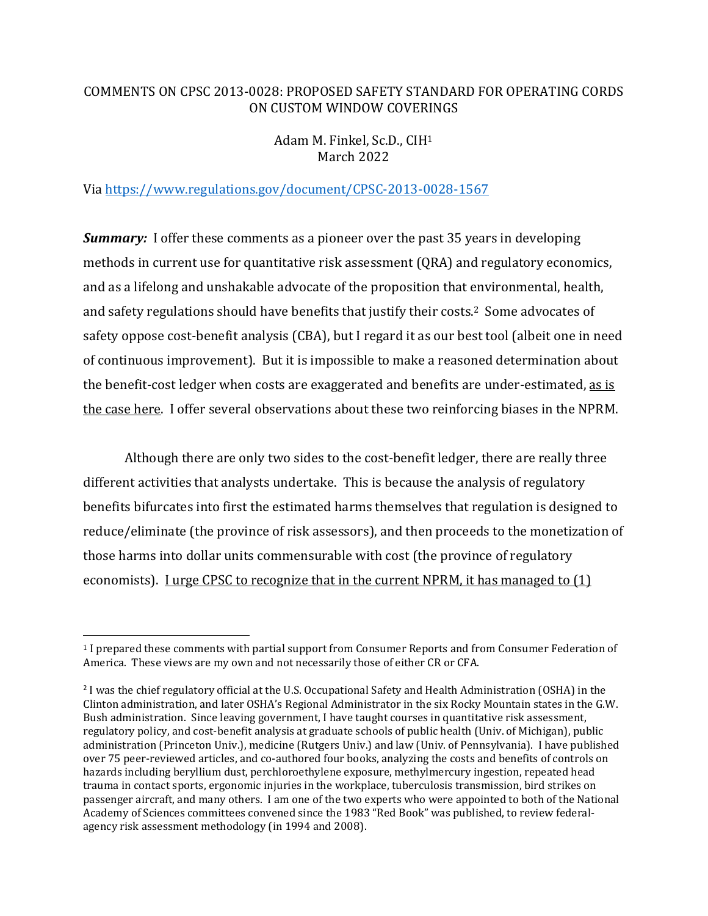# COMMENTS ON CPSC 2013-0028: PROPOSED SAFETY STANDARD FOR OPERATING CORDS ON CUSTOM WINDOW COVERINGS

# Adam M. Finkel, Sc.D., CIH<sup>1</sup> March 2022

## Via https://www.regulations.gov/document/CPSC-2013-0028-1567

*Summary:* I offer these comments as a pioneer over the past 35 years in developing methods in current use for quantitative risk assessment (QRA) and regulatory economics, and as a lifelong and unshakable advocate of the proposition that environmental, health, and safety regulations should have benefits that justify their costs.2 Some advocates of safety oppose cost-benefit analysis (CBA), but I regard it as our best tool (albeit one in need of continuous improvement). But it is impossible to make a reasoned determination about the benefit-cost ledger when costs are exaggerated and benefits are under-estimated, as is the case here. I offer several observations about these two reinforcing biases in the NPRM.

 Although there are only two sides to the cost-benefit ledger, there are really three different activities that analysts undertake. This is because the analysis of regulatory benefits bifurcates into first the estimated harms themselves that regulation is designed to reduce/eliminate (the province of risk assessors), and then proceeds to the monetization of those harms into dollar units commensurable with cost (the province of regulatory economists). I urge CPSC to recognize that in the current NPRM, it has managed to (1)

<sup>1</sup> I prepared these comments with partial support from Consumer Reports and from Consumer Federation of America. These views are my own and not necessarily those of either CR or CFA.

<sup>&</sup>lt;sup>2</sup> I was the chief regulatory official at the U.S. Occupational Safety and Health Administration (OSHA) in the Clinton administration, and later OSHA's Regional Administrator in the six Rocky Mountain states in the G.W. Bush administration. Since leaving government, I have taught courses in quantitative risk assessment, regulatory policy, and cost-benefit analysis at graduate schools of public health (Univ. of Michigan), public administration (Princeton Univ.), medicine (Rutgers Univ.) and law (Univ. of Pennsylvania). I have published over 75 peer-reviewed articles, and co-authored four books, analyzing the costs and benefits of controls on hazards including beryllium dust, perchloroethylene exposure, methylmercury ingestion, repeated head trauma in contact sports, ergonomic injuries in the workplace, tuberculosis transmission, bird strikes on passenger aircraft, and many others. I am one of the two experts who were appointed to both of the National Academy of Sciences committees convened since the 1983 "Red Book" was published, to review federalagency risk assessment methodology (in 1994 and 2008).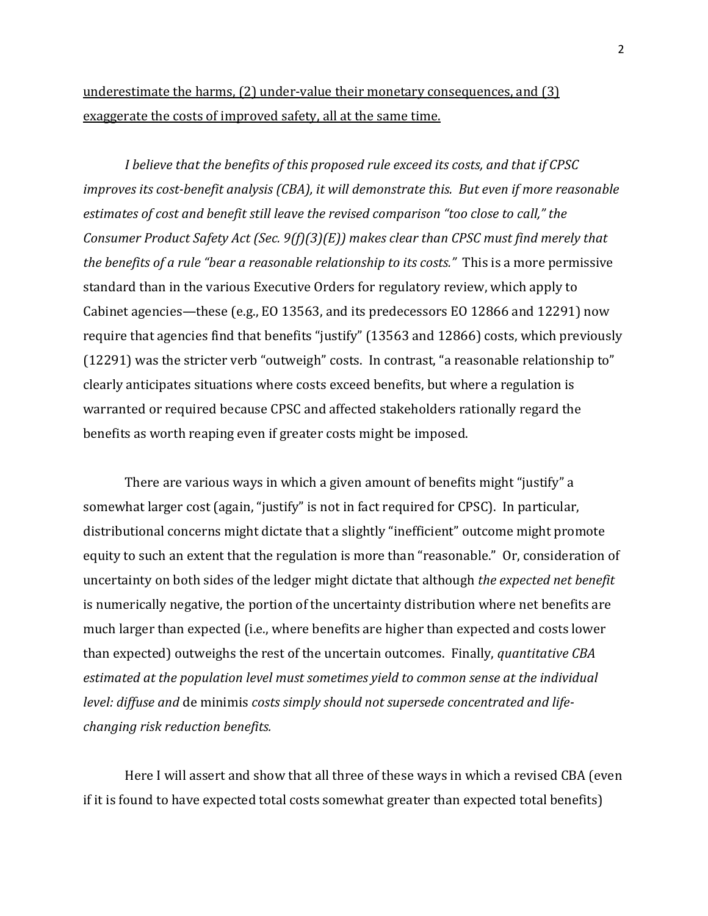# underestimate the harms, (2) under-value their monetary consequences, and (3) exaggerate the costs of improved safety, all at the same time.

*I believe that the benefits of this proposed rule exceed its costs, and that if CPSC improves its cost-benefit analysis (CBA), it will demonstrate this. But even if more reasonable estimates of cost and benefit still leave the revised comparison "too close to call," the Consumer Product Safety Act (Sec. 9(f)(3)(E)) makes clear than CPSC must find merely that the benefits of a rule "bear a reasonable relationship to its costs."* This is a more permissive standard than in the various Executive Orders for regulatory review, which apply to Cabinet agencies—these (e.g., EO 13563, and its predecessors EO 12866 and 12291) now require that agencies find that benefits "justify" (13563 and 12866) costs, which previously (12291) was the stricter verb "outweigh" costs. In contrast, "a reasonable relationship to" clearly anticipates situations where costs exceed benefits, but where a regulation is warranted or required because CPSC and affected stakeholders rationally regard the benefits as worth reaping even if greater costs might be imposed.

There are various ways in which a given amount of benefits might "justify" a somewhat larger cost (again, "justify" is not in fact required for CPSC). In particular, distributional concerns might dictate that a slightly "inefficient" outcome might promote equity to such an extent that the regulation is more than "reasonable." Or, consideration of uncertainty on both sides of the ledger might dictate that although *the expected net benefit*  is numerically negative, the portion of the uncertainty distribution where net benefits are much larger than expected (i.e., where benefits are higher than expected and costs lower than expected) outweighs the rest of the uncertain outcomes. Finally, *quantitative CBA estimated at the population level must sometimes yield to common sense at the individual level: diffuse and* de minimis *costs simply should not supersede concentrated and lifechanging risk reduction benefits.*

Here I will assert and show that all three of these ways in which a revised CBA (even if it is found to have expected total costs somewhat greater than expected total benefits)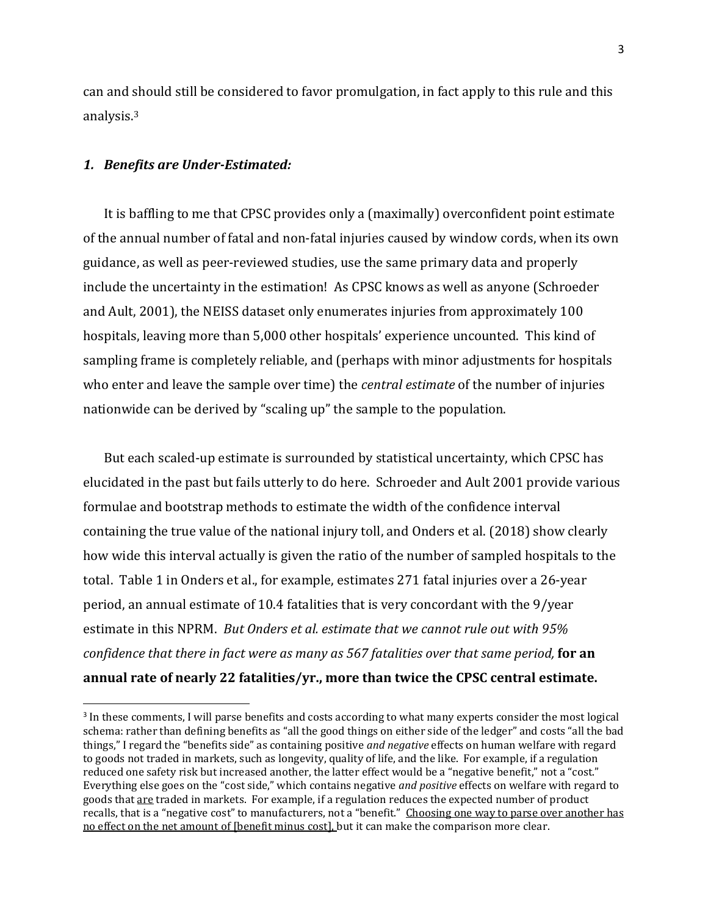can and should still be considered to favor promulgation, in fact apply to this rule and this analysis.<sup>3</sup>

#### *1. Benefits are Under-Estimated:*

It is baffling to me that CPSC provides only a (maximally) overconfident point estimate of the annual number of fatal and non-fatal injuries caused by window cords, when its own guidance, as well as peer-reviewed studies, use the same primary data and properly include the uncertainty in the estimation! As CPSC knows as well as anyone (Schroeder and Ault, 2001), the NEISS dataset only enumerates injuries from approximately 100 hospitals, leaving more than 5,000 other hospitals' experience uncounted. This kind of sampling frame is completely reliable, and (perhaps with minor adjustments for hospitals who enter and leave the sample over time) the *central estimate* of the number of injuries nationwide can be derived by "scaling up" the sample to the population.

But each scaled-up estimate is surrounded by statistical uncertainty, which CPSC has elucidated in the past but fails utterly to do here. Schroeder and Ault 2001 provide various formulae and bootstrap methods to estimate the width of the confidence interval containing the true value of the national injury toll, and Onders et al. (2018) show clearly how wide this interval actually is given the ratio of the number of sampled hospitals to the total. Table 1 in Onders et al., for example, estimates 271 fatal injuries over a 26-year period, an annual estimate of 10.4 fatalities that is very concordant with the 9/year estimate in this NPRM. *But Onders et al. estimate that we cannot rule out with 95% confidence that there in fact were as many as 567 fatalities over that same period,* **for an annual rate of nearly 22 fatalities/yr., more than twice the CPSC central estimate.** 

<sup>&</sup>lt;sup>3</sup> In these comments, I will parse benefits and costs according to what many experts consider the most logical schema: rather than defining benefits as "all the good things on either side of the ledger" and costs "all the bad things," I regard the "benefits side" as containing positive *and negative* effects on human welfare with regard to goods not traded in markets, such as longevity, quality of life, and the like. For example, if a regulation reduced one safety risk but increased another, the latter effect would be a "negative benefit," not a "cost." Everything else goes on the "cost side," which contains negative *and positive* effects on welfare with regard to goods that are traded in markets. For example, if a regulation reduces the expected number of product recalls, that is a "negative cost" to manufacturers, not a "benefit." Choosing one way to parse over another has no effect on the net amount of [benefit minus cost], but it can make the comparison more clear.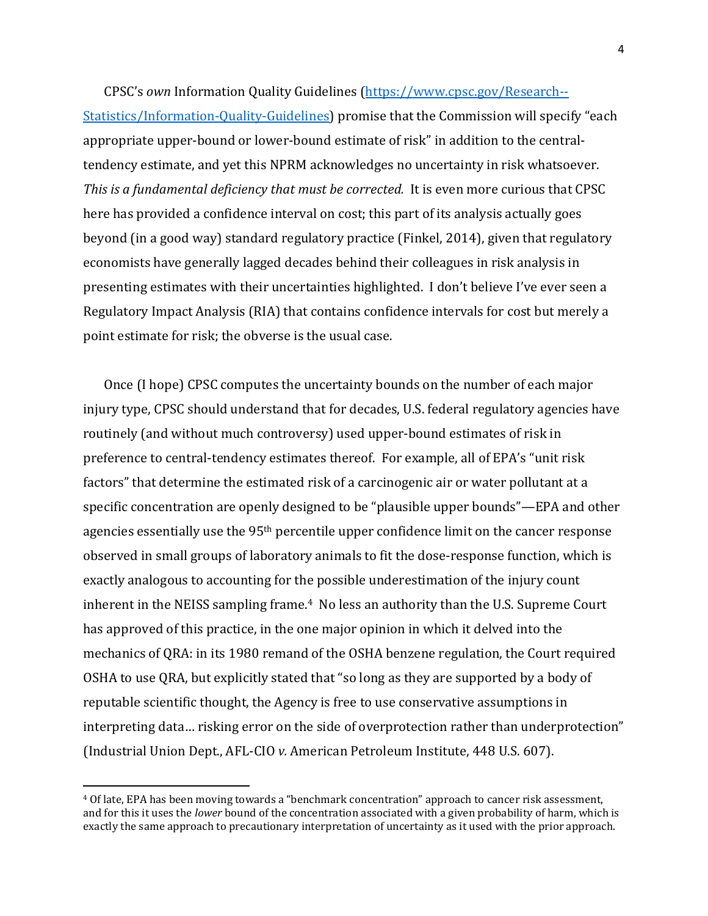CPSC's *own* Information Quality Guidelines (https://www.cpsc.gov/Research--

Statistics/Information-Quality-Guidelines) promise that the Commission will specify "each appropriate upper-bound or lower-bound estimate of risk" in addition to the centraltendency estimate, and yet this NPRM acknowledges no uncertainty in risk whatsoever. *This is a fundamental deficiency that must be corrected.* It is even more curious that CPSC here has provided a confidence interval on cost; this part of its analysis actually goes beyond (in a good way) standard regulatory practice (Finkel, 2014), given that regulatory economists have generally lagged decades behind their colleagues in risk analysis in presenting estimates with their uncertainties highlighted. I don't believe I've ever seen a Regulatory Impact Analysis (RIA) that contains confidence intervals for cost but merely a point estimate for risk; the obverse is the usual case.

Once (I hope) CPSC computes the uncertainty bounds on the number of each major injury type, CPSC should understand that for decades, U.S. federal regulatory agencies have routinely (and without much controversy) used upper-bound estimates of risk in preference to central-tendency estimates thereof. For example, all of EPA's "unit risk factors" that determine the estimated risk of a carcinogenic air or water pollutant at a specific concentration are openly designed to be "plausible upper bounds"—EPA and other agencies essentially use the 95th percentile upper confidence limit on the cancer response observed in small groups of laboratory animals to fit the dose-response function, which is exactly analogous to accounting for the possible underestimation of the injury count inherent in the NEISS sampling frame.<sup>4</sup> No less an authority than the U.S. Supreme Court has approved of this practice, in the one major opinion in which it delved into the mechanics of QRA: in its 1980 remand of the OSHA benzene regulation, the Court required OSHA to use QRA, but explicitly stated that "so long as they are supported by a body of reputable scientific thought, the Agency is free to use conservative assumptions in interpreting data… risking error on the side of overprotection rather than underprotection" (Industrial Union Dept., AFL-CIO *v.* American Petroleum Institute, 448 U.S. 607).

<sup>4</sup> Of late, EPA has been moving towards a "benchmark concentration" approach to cancer risk assessment, and for this it uses the *lower* bound of the concentration associated with a given probability of harm, which is exactly the same approach to precautionary interpretation of uncertainty as it used with the prior approach.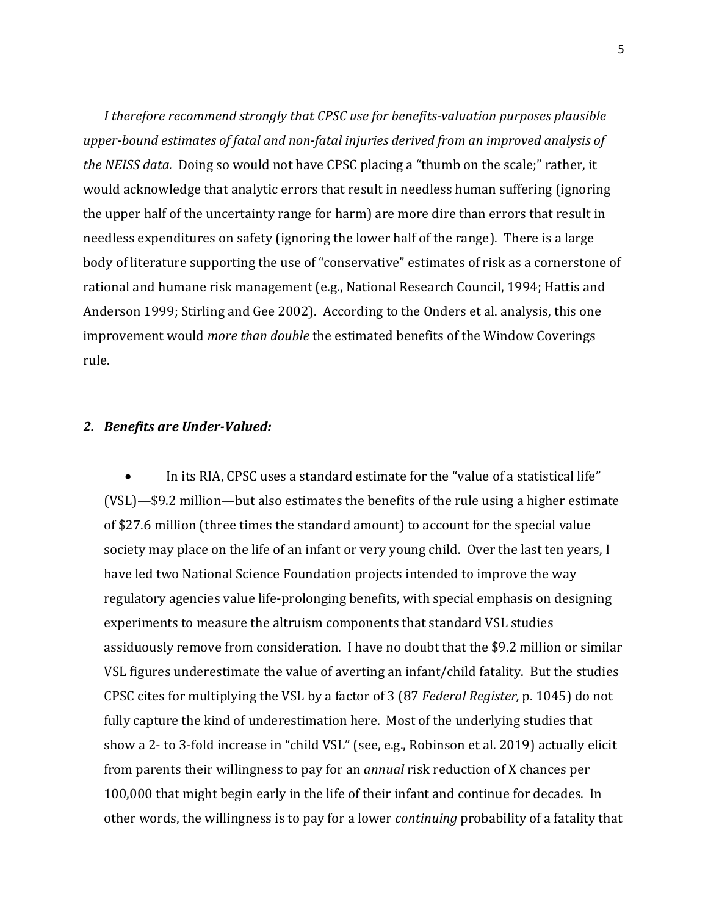*I therefore recommend strongly that CPSC use for benefits-valuation purposes plausible upper-bound estimates of fatal and non-fatal injuries derived from an improved analysis of the NEISS data.* Doing so would not have CPSC placing a "thumb on the scale;" rather, it would acknowledge that analytic errors that result in needless human suffering (ignoring the upper half of the uncertainty range for harm) are more dire than errors that result in needless expenditures on safety (ignoring the lower half of the range). There is a large body of literature supporting the use of "conservative" estimates of risk as a cornerstone of rational and humane risk management (e.g., National Research Council, 1994; Hattis and Anderson 1999; Stirling and Gee 2002). According to the Onders et al. analysis, this one improvement would *more than double* the estimated benefits of the Window Coverings rule.

## *2. Benefits are Under-Valued:*

• In its RIA, CPSC uses a standard estimate for the "value of a statistical life" (VSL)—\$9.2 million—but also estimates the benefits of the rule using a higher estimate of \$27.6 million (three times the standard amount) to account for the special value society may place on the life of an infant or very young child. Over the last ten years, I have led two National Science Foundation projects intended to improve the way regulatory agencies value life-prolonging benefits, with special emphasis on designing experiments to measure the altruism components that standard VSL studies assiduously remove from consideration. I have no doubt that the \$9.2 million or similar VSL figures underestimate the value of averting an infant/child fatality. But the studies CPSC cites for multiplying the VSL by a factor of 3 (87 *Federal Register,* p. 1045) do not fully capture the kind of underestimation here. Most of the underlying studies that show a 2- to 3-fold increase in "child VSL" (see, e.g., Robinson et al. 2019) actually elicit from parents their willingness to pay for an *annual* risk reduction of X chances per 100,000 that might begin early in the life of their infant and continue for decades. In other words, the willingness is to pay for a lower *continuing* probability of a fatality that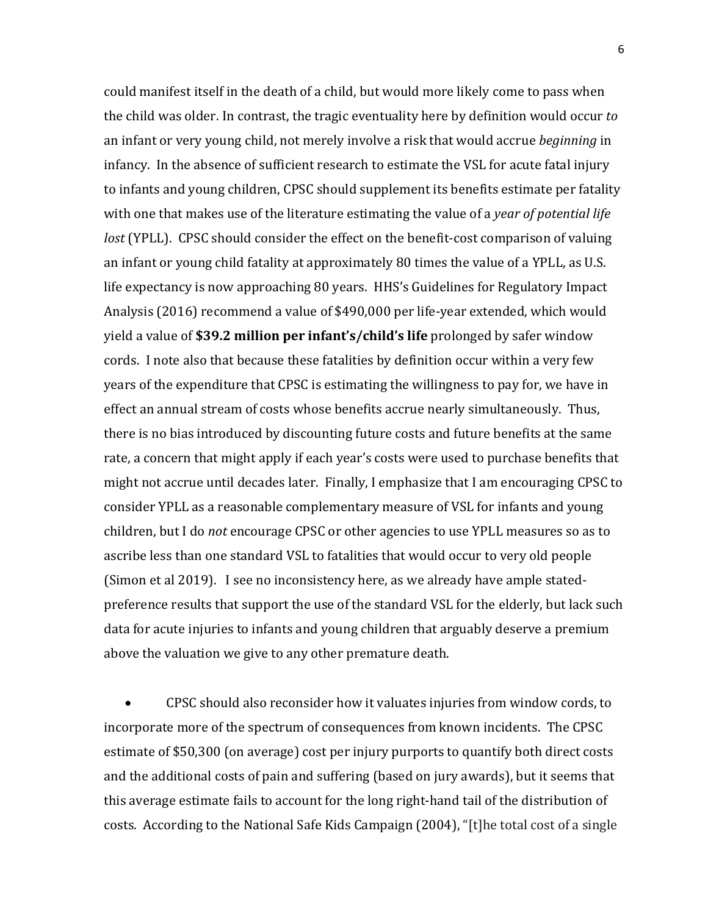could manifest itself in the death of a child, but would more likely come to pass when the child was older. In contrast, the tragic eventuality here by definition would occur *to* an infant or very young child, not merely involve a risk that would accrue *beginning* in infancy. In the absence of sufficient research to estimate the VSL for acute fatal injury to infants and young children, CPSC should supplement its benefits estimate per fatality with one that makes use of the literature estimating the value of a *year of potential life lost* (YPLL). CPSC should consider the effect on the benefit-cost comparison of valuing an infant or young child fatality at approximately 80 times the value of a YPLL, as U.S. life expectancy is now approaching 80 years. HHS's Guidelines for Regulatory Impact Analysis (2016) recommend a value of \$490,000 per life-year extended, which would yield a value of **\$39.2 million per infant's/child's life** prolonged by safer window cords. I note also that because these fatalities by definition occur within a very few years of the expenditure that CPSC is estimating the willingness to pay for, we have in effect an annual stream of costs whose benefits accrue nearly simultaneously. Thus, there is no bias introduced by discounting future costs and future benefits at the same rate, a concern that might apply if each year's costs were used to purchase benefits that might not accrue until decades later. Finally, I emphasize that I am encouraging CPSC to consider YPLL as a reasonable complementary measure of VSL for infants and young children, but I do *not* encourage CPSC or other agencies to use YPLL measures so as to ascribe less than one standard VSL to fatalities that would occur to very old people (Simon et al 2019). I see no inconsistency here, as we already have ample statedpreference results that support the use of the standard VSL for the elderly, but lack such data for acute injuries to infants and young children that arguably deserve a premium above the valuation we give to any other premature death.

• CPSC should also reconsider how it valuates injuries from window cords, to incorporate more of the spectrum of consequences from known incidents. The CPSC estimate of \$50,300 (on average) cost per injury purports to quantify both direct costs and the additional costs of pain and suffering (based on jury awards), but it seems that this average estimate fails to account for the long right-hand tail of the distribution of costs. According to the National Safe Kids Campaign (2004), "[t]he total cost of a single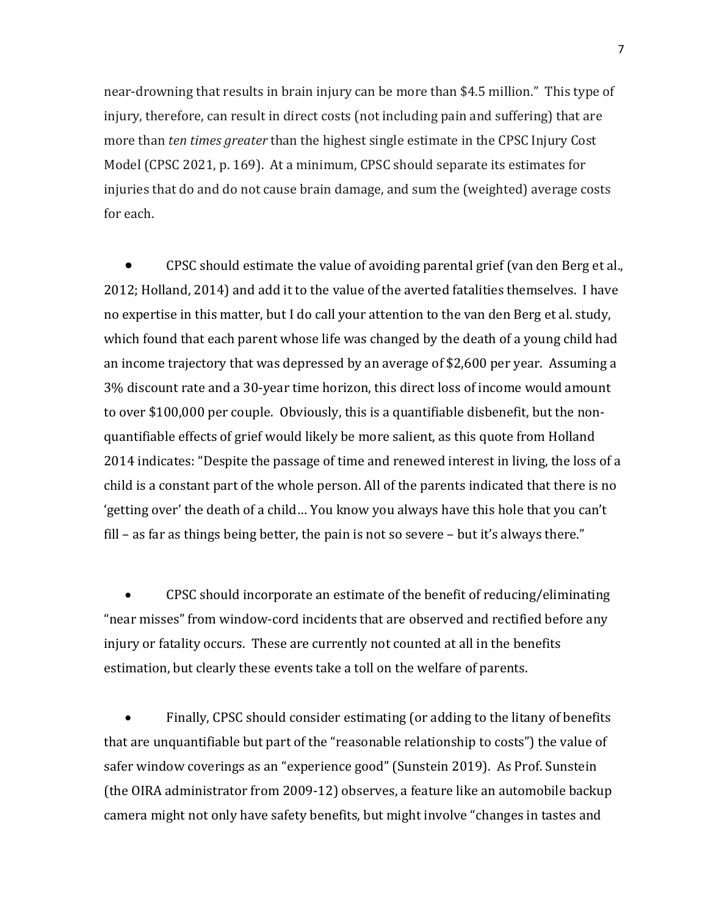near-drowning that results in brain injury can be more than \$4.5 million." This type of injury, therefore, can result in direct costs (not including pain and suffering) that are more than *ten times greater* than the highest single estimate in the CPSC Injury Cost Model (CPSC 2021, p. 169). At a minimum, CPSC should separate its estimates for injuries that do and do not cause brain damage, and sum the (weighted) average costs for each.

• CPSC should estimate the value of avoiding parental grief (van den Berg et al., 2012; Holland, 2014) and add it to the value of the averted fatalities themselves. I have no expertise in this matter, but I do call your attention to the van den Berg et al. study, which found that each parent whose life was changed by the death of a young child had an income trajectory that was depressed by an average of \$2,600 per year. Assuming a 3% discount rate and a 30-year time horizon, this direct loss of income would amount to over \$100,000 per couple. Obviously, this is a quantifiable disbenefit, but the nonquantifiable effects of grief would likely be more salient, as this quote from Holland 2014 indicates: "Despite the passage of time and renewed interest in living, the loss of a child is a constant part of the whole person. All of the parents indicated that there is no 'getting over' the death of a child… You know you always have this hole that you can't fill – as far as things being better, the pain is not so severe – but it's always there."

• CPSC should incorporate an estimate of the benefit of reducing/eliminating "near misses" from window-cord incidents that are observed and rectified before any injury or fatality occurs. These are currently not counted at all in the benefits estimation, but clearly these events take a toll on the welfare of parents.

• Finally, CPSC should consider estimating (or adding to the litany of benefits that are unquantifiable but part of the "reasonable relationship to costs") the value of safer window coverings as an "experience good" (Sunstein 2019). As Prof. Sunstein (the OIRA administrator from 2009-12) observes, a feature like an automobile backup camera might not only have safety benefits, but might involve "changes in tastes and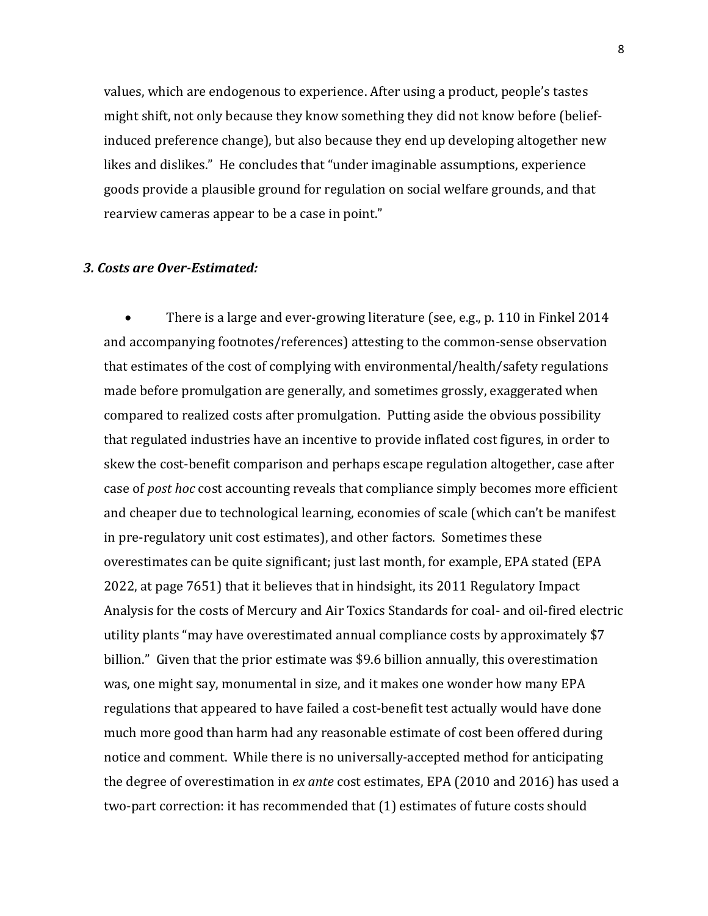values, which are endogenous to experience. After using a product, people's tastes might shift, not only because they know something they did not know before (beliefinduced preference change), but also because they end up developing altogether new likes and dislikes." He concludes that "under imaginable assumptions, experience goods provide a plausible ground for regulation on social welfare grounds, and that rearview cameras appear to be a case in point."

### *3. Costs are Over-Estimated:*

• There is a large and ever-growing literature (see, e.g., p. 110 in Finkel 2014 and accompanying footnotes/references) attesting to the common-sense observation that estimates of the cost of complying with environmental/health/safety regulations made before promulgation are generally, and sometimes grossly, exaggerated when compared to realized costs after promulgation. Putting aside the obvious possibility that regulated industries have an incentive to provide inflated cost figures, in order to skew the cost-benefit comparison and perhaps escape regulation altogether, case after case of *post hoc* cost accounting reveals that compliance simply becomes more efficient and cheaper due to technological learning, economies of scale (which can't be manifest in pre-regulatory unit cost estimates), and other factors. Sometimes these overestimates can be quite significant; just last month, for example, EPA stated (EPA 2022, at page 7651) that it believes that in hindsight, its 2011 Regulatory Impact Analysis for the costs of Mercury and Air Toxics Standards for coal- and oil-fired electric utility plants "may have overestimated annual compliance costs by approximately \$7 billion." Given that the prior estimate was \$9.6 billion annually, this overestimation was, one might say, monumental in size, and it makes one wonder how many EPA regulations that appeared to have failed a cost-benefit test actually would have done much more good than harm had any reasonable estimate of cost been offered during notice and comment. While there is no universally-accepted method for anticipating the degree of overestimation in *ex ante* cost estimates, EPA (2010 and 2016) has used a two-part correction: it has recommended that (1) estimates of future costs should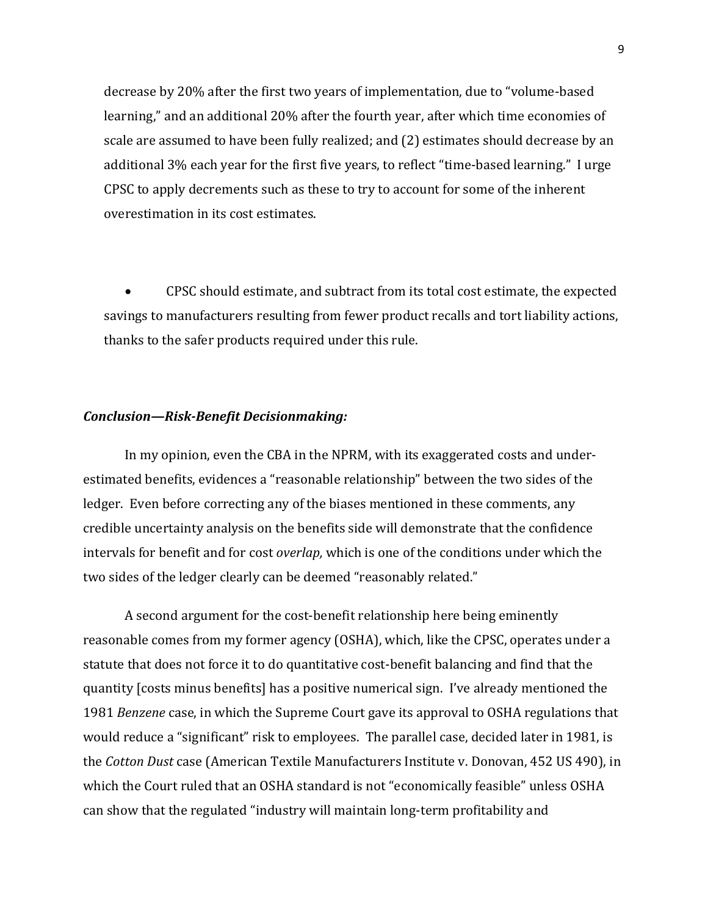decrease by 20% after the first two years of implementation, due to "volume-based learning," and an additional 20% after the fourth year, after which time economies of scale are assumed to have been fully realized; and (2) estimates should decrease by an additional 3% each year for the first five years, to reflect "time-based learning." I urge CPSC to apply decrements such as these to try to account for some of the inherent overestimation in its cost estimates.

• CPSC should estimate, and subtract from its total cost estimate, the expected savings to manufacturers resulting from fewer product recalls and tort liability actions, thanks to the safer products required under this rule.

#### *Conclusion—Risk-Benefit Decisionmaking:*

 In my opinion, even the CBA in the NPRM, with its exaggerated costs and underestimated benefits, evidences a "reasonable relationship" between the two sides of the ledger. Even before correcting any of the biases mentioned in these comments, any credible uncertainty analysis on the benefits side will demonstrate that the confidence intervals for benefit and for cost *overlap,* which is one of the conditions under which the two sides of the ledger clearly can be deemed "reasonably related."

 A second argument for the cost-benefit relationship here being eminently reasonable comes from my former agency (OSHA), which, like the CPSC, operates under a statute that does not force it to do quantitative cost-benefit balancing and find that the quantity [costs minus benefits] has a positive numerical sign. I've already mentioned the 1981 *Benzene* case, in which the Supreme Court gave its approval to OSHA regulations that would reduce a "significant" risk to employees. The parallel case, decided later in 1981, is the *Cotton Dust* case (American Textile Manufacturers Institute v. Donovan, 452 US 490), in which the Court ruled that an OSHA standard is not "economically feasible" unless OSHA can show that the regulated "industry will maintain long-term profitability and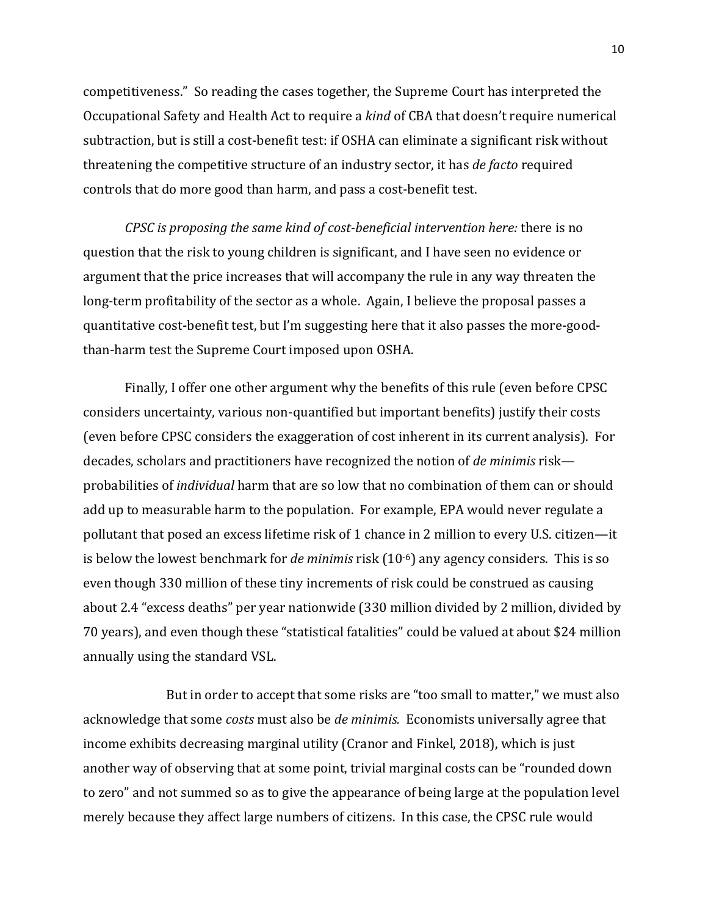competitiveness." So reading the cases together, the Supreme Court has interpreted the Occupational Safety and Health Act to require a *kind* of CBA that doesn't require numerical subtraction, but is still a cost-benefit test: if OSHA can eliminate a significant risk without threatening the competitive structure of an industry sector, it has *de facto* required controls that do more good than harm, and pass a cost-benefit test.

*CPSC is proposing the same kind of cost-beneficial intervention here:* there is no question that the risk to young children is significant, and I have seen no evidence or argument that the price increases that will accompany the rule in any way threaten the long-term profitability of the sector as a whole. Again, I believe the proposal passes a quantitative cost-benefit test, but I'm suggesting here that it also passes the more-goodthan-harm test the Supreme Court imposed upon OSHA.

 Finally, I offer one other argument why the benefits of this rule (even before CPSC considers uncertainty, various non-quantified but important benefits) justify their costs (even before CPSC considers the exaggeration of cost inherent in its current analysis). For decades, scholars and practitioners have recognized the notion of *de minimis* risk probabilities of *individual* harm that are so low that no combination of them can or should add up to measurable harm to the population. For example, EPA would never regulate a pollutant that posed an excess lifetime risk of 1 chance in 2 million to every U.S. citizen—it is below the lowest benchmark for *de minimis* risk (10-6) any agency considers. This is so even though 330 million of these tiny increments of risk could be construed as causing about 2.4 "excess deaths" per year nationwide (330 million divided by 2 million, divided by 70 years), and even though these "statistical fatalities" could be valued at about \$24 million annually using the standard VSL.

 But in order to accept that some risks are "too small to matter," we must also acknowledge that some *costs* must also be *de minimis.* Economists universally agree that income exhibits decreasing marginal utility (Cranor and Finkel, 2018), which is just another way of observing that at some point, trivial marginal costs can be "rounded down to zero" and not summed so as to give the appearance of being large at the population level merely because they affect large numbers of citizens. In this case, the CPSC rule would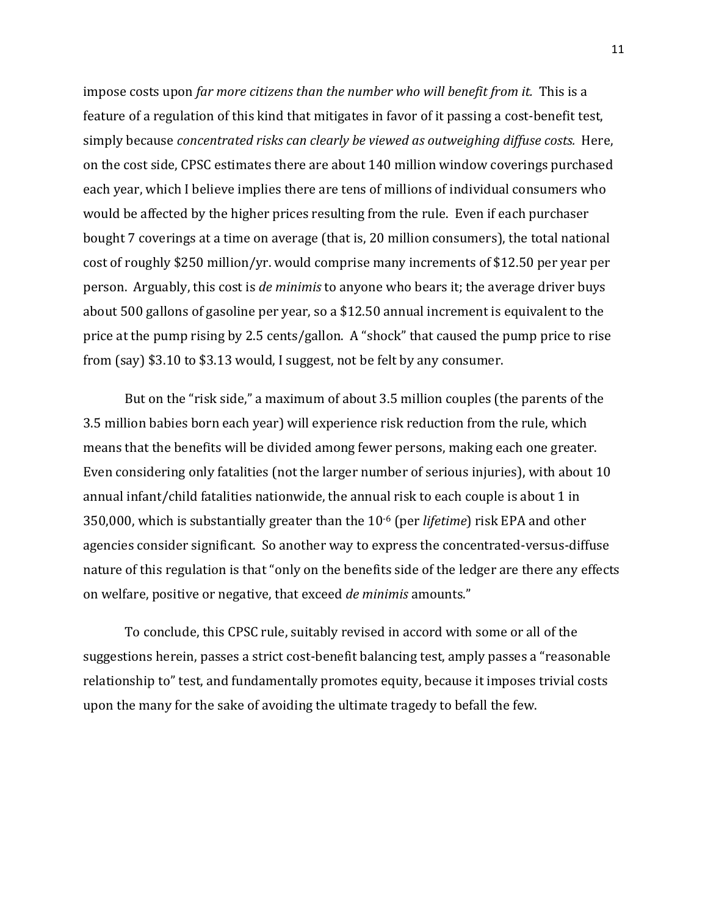impose costs upon *far more citizens than the number who will benefit from it.* This is a feature of a regulation of this kind that mitigates in favor of it passing a cost-benefit test, simply because *concentrated risks can clearly be viewed as outweighing diffuse costs.* Here, on the cost side, CPSC estimates there are about 140 million window coverings purchased each year, which I believe implies there are tens of millions of individual consumers who would be affected by the higher prices resulting from the rule. Even if each purchaser bought 7 coverings at a time on average (that is, 20 million consumers), the total national cost of roughly \$250 million/yr. would comprise many increments of \$12.50 per year per person. Arguably, this cost is *de minimis* to anyone who bears it; the average driver buys about 500 gallons of gasoline per year, so a \$12.50 annual increment is equivalent to the price at the pump rising by 2.5 cents/gallon. A "shock" that caused the pump price to rise from (say) \$3.10 to \$3.13 would, I suggest, not be felt by any consumer.

But on the "risk side," a maximum of about 3.5 million couples (the parents of the 3.5 million babies born each year) will experience risk reduction from the rule, which means that the benefits will be divided among fewer persons, making each one greater. Even considering only fatalities (not the larger number of serious injuries), with about 10 annual infant/child fatalities nationwide, the annual risk to each couple is about 1 in 350,000, which is substantially greater than the 10-6 (per *lifetime*) risk EPA and other agencies consider significant. So another way to express the concentrated-versus-diffuse nature of this regulation is that "only on the benefits side of the ledger are there any effects on welfare, positive or negative, that exceed *de minimis* amounts."

To conclude, this CPSC rule, suitably revised in accord with some or all of the suggestions herein, passes a strict cost-benefit balancing test, amply passes a "reasonable relationship to" test, and fundamentally promotes equity, because it imposes trivial costs upon the many for the sake of avoiding the ultimate tragedy to befall the few.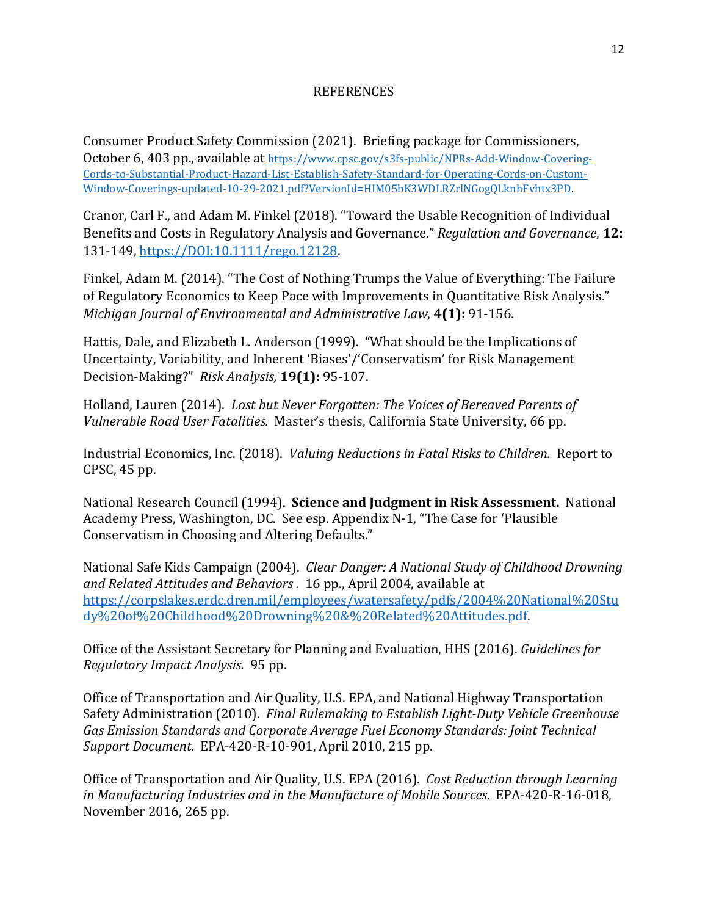## REFERENCES

Consumer Product Safety Commission (2021). Briefing package for Commissioners, October 6, 403 pp., available at https://www.cpsc.gov/s3fs-public/NPRs-Add-Window-Covering-Cords-to-Substantial-Product-Hazard-List-Establish-Safety-Standard-for-Operating-Cords-on-Custom-Window-Coverings-updated-10-29-2021.pdf?VersionId=HIM05bK3WDLRZrlNGogQLknhFvhtx3PD.

Cranor, Carl F., and Adam M. Finkel (2018). "Toward the Usable Recognition of Individual Benefits and Costs in Regulatory Analysis and Governance." *Regulation and Governance*, **12:**  131-149, https://DOI:10.1111/rego.12128.

Finkel, Adam M. (2014). "The Cost of Nothing Trumps the Value of Everything: The Failure of Regulatory Economics to Keep Pace with Improvements in Quantitative Risk Analysis." *Michigan Journal of Environmental and Administrative Law*, **4(1):** 91-156.

Hattis, Dale, and Elizabeth L. Anderson (1999). "What should be the Implications of Uncertainty, Variability, and Inherent 'Biases'/'Conservatism' for Risk Management Decision-Making?" *Risk Analysis,* **19(1):** 95-107.

Holland, Lauren (2014). *Lost but Never Forgotten: The Voices of Bereaved Parents of Vulnerable Road User Fatalities.* Master's thesis, California State University, 66 pp.

Industrial Economics, Inc. (2018). *Valuing Reductions in Fatal Risks to Children.* Report to CPSC, 45 pp.

National Research Council (1994). **Science and Judgment in Risk Assessment.** National Academy Press, Washington, DC. See esp. Appendix N-1, "The Case for 'Plausible Conservatism in Choosing and Altering Defaults."

National Safe Kids Campaign (2004). *Clear Danger: A National Study of Childhood Drowning and Related Attitudes and Behaviors .* 16 pp., April 2004, available at https://corpslakes.erdc.dren.mil/employees/watersafety/pdfs/2004%20National%20Stu dy%20of%20Childhood%20Drowning%20&%20Related%20Attitudes.pdf.

Office of the Assistant Secretary for Planning and Evaluation, HHS (2016). *Guidelines for Regulatory Impact Analysis.* 95 pp.

Office of Transportation and Air Quality, U.S. EPA, and National Highway Transportation Safety Administration (2010). *Final Rulemaking to Establish Light-Duty Vehicle Greenhouse Gas Emission Standards and Corporate Average Fuel Economy Standards: Joint Technical Support Document.* EPA-420-R-10-901, April 2010, 215 pp.

Office of Transportation and Air Quality, U.S. EPA (2016). *Cost Reduction through Learning in Manufacturing Industries and in the Manufacture of Mobile Sources.* EPA-420-R-16-018, November 2016, 265 pp.